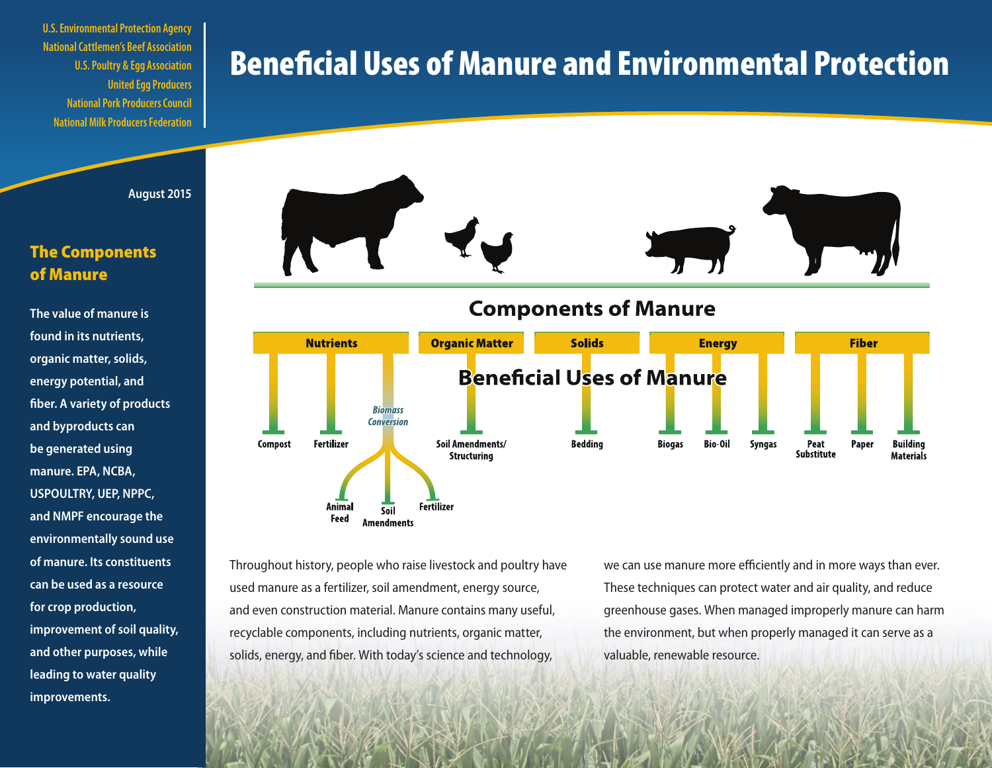**U.S. Environmental Protection Agency National Cattlemen's Beef Association U.S. Poultry & Egg Association United Egg Producers National Pork Producers Council National Milk Producers Federation**

# Beneficial Uses of Manure and Environmental Protection



### The Components of Manure

**The value of manure is found in its nutrients, organic matter, solids, energy potential, and fiber. A variety of products and byproducts can be generated using manure. EPA, NCBA, USPOULTRY, UEP, NPPC, and NMPF encourage the environmentally sound use of manure. Its constituents can be used as a resource for crop production, improvement of soil quality, and other purposes, while leading to water quality improvements.** 



**Components of Manure** 



Throughout history, people who raise livestock and poultry have used manure as a fertilizer, soil amendment, energy source, and even construction material. Manure contains many useful, recyclable components, including nutrients, organic matter, solids, energy, and fiber. With today's science and technology,

we can use manure more efficiently and in more ways than ever. These techniques can protect water and air quality, and reduce greenhouse gases. When managed improperly manure can harm the environment, but when properly managed it can serve as a valuable, renewable resource.